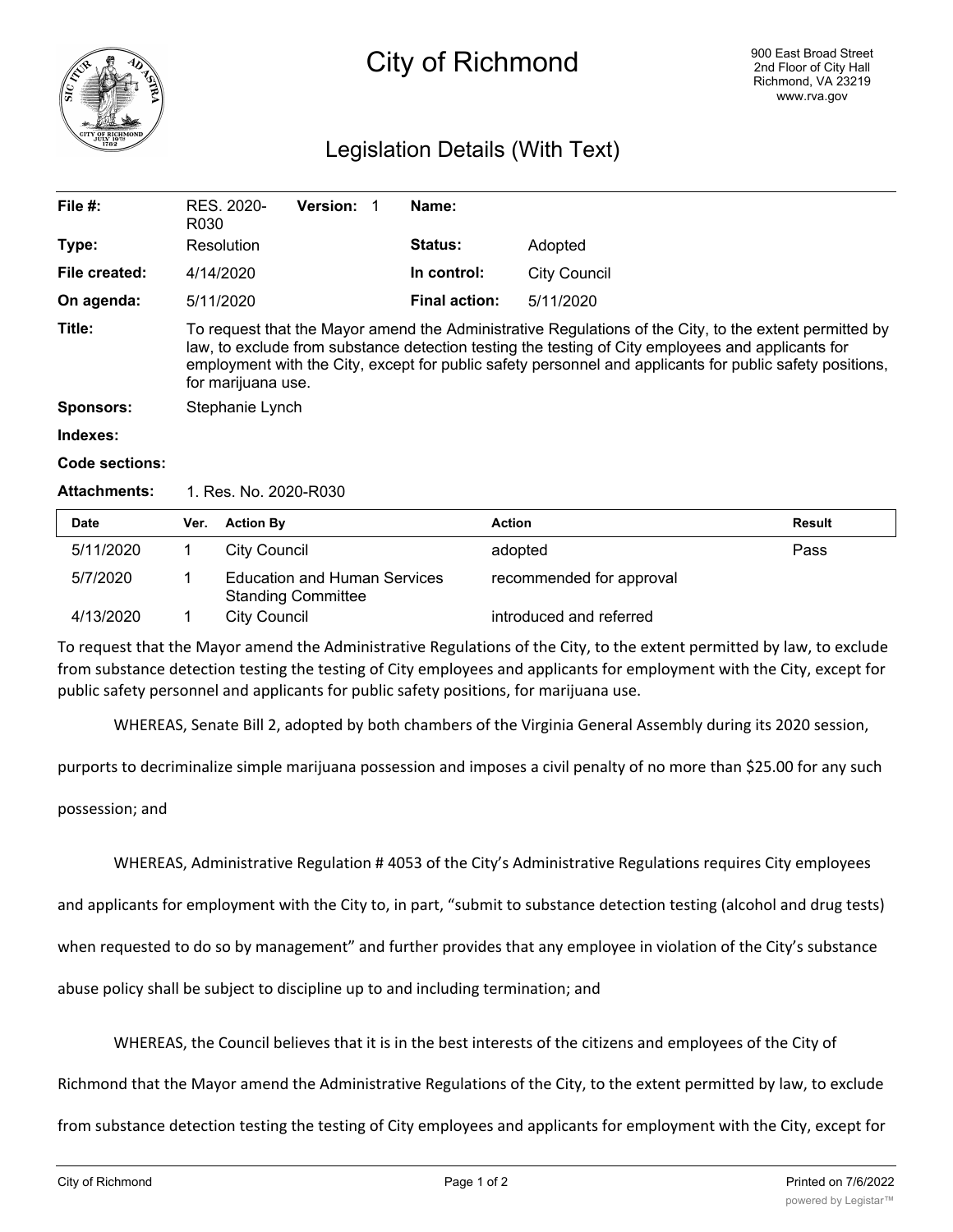

# City of Richmond

## Legislation Details (With Text)

| File $#$ :       | RES. 2020-<br>R030                                                                                                                                                                                                                                                                                                                            | <b>Version:</b> |  | Name:                |              |  |
|------------------|-----------------------------------------------------------------------------------------------------------------------------------------------------------------------------------------------------------------------------------------------------------------------------------------------------------------------------------------------|-----------------|--|----------------------|--------------|--|
| Type:            | Resolution                                                                                                                                                                                                                                                                                                                                    |                 |  | <b>Status:</b>       | Adopted      |  |
| File created:    | 4/14/2020                                                                                                                                                                                                                                                                                                                                     |                 |  | In control:          | City Council |  |
| On agenda:       | 5/11/2020                                                                                                                                                                                                                                                                                                                                     |                 |  | <b>Final action:</b> | 5/11/2020    |  |
| Title:           | To request that the Mayor amend the Administrative Regulations of the City, to the extent permitted by<br>law, to exclude from substance detection testing the testing of City employees and applicants for<br>employment with the City, except for public safety personnel and applicants for public safety positions,<br>for marijuana use. |                 |  |                      |              |  |
| <b>Sponsors:</b> | Stephanie Lynch                                                                                                                                                                                                                                                                                                                               |                 |  |                      |              |  |
| Indexes:         |                                                                                                                                                                                                                                                                                                                                               |                 |  |                      |              |  |

#### **Code sections:**

#### **Attachments:** 1. Res. No. 2020-R030

| Date      | Ver. | <b>Action By</b>                                                 | Action                   | Result |
|-----------|------|------------------------------------------------------------------|--------------------------|--------|
| 5/11/2020 |      | City Council                                                     | adopted                  | Pass   |
| 5/7/2020  |      | <b>Education and Human Services</b><br><b>Standing Committee</b> | recommended for approval |        |
| 4/13/2020 |      | <b>City Council</b>                                              | introduced and referred  |        |

To request that the Mayor amend the Administrative Regulations of the City, to the extent permitted by law, to exclude from substance detection testing the testing of City employees and applicants for employment with the City, except for public safety personnel and applicants for public safety positions, for marijuana use.

WHEREAS, Senate Bill 2, adopted by both chambers of the Virginia General Assembly during its 2020 session,

purports to decriminalize simple marijuana possession and imposes a civil penalty of no more than \$25.00 for any such

possession; and

WHEREAS, Administrative Regulation # 4053 of the City's Administrative Regulations requires City employees

and applicants for employment with the City to, in part, "submit to substance detection testing (alcohol and drug tests)

when requested to do so by management" and further provides that any employee in violation of the City's substance

abuse policy shall be subject to discipline up to and including termination; and

WHEREAS, the Council believes that it is in the best interests of the citizens and employees of the City of

Richmond that the Mayor amend the Administrative Regulations of the City, to the extent permitted by law, to exclude

from substance detection testing the testing of City employees and applicants for employment with the City, except for